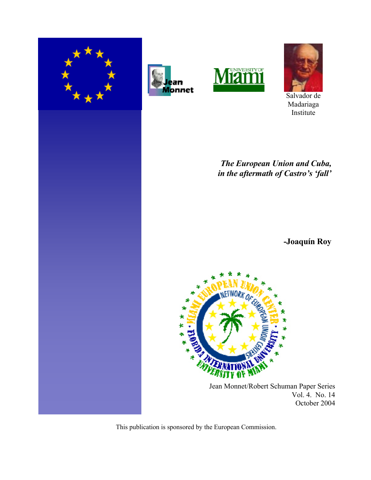







Salvador de Madariaga Institute

*The European Union and Cuba, in the aftermath of Castro's 'fall'*

**-Joaquín Roy**



 Jean Monnet/Robert Schuman Paper Series Vol. 4. No. 14 October 2004

This publication is sponsored by the European Commission.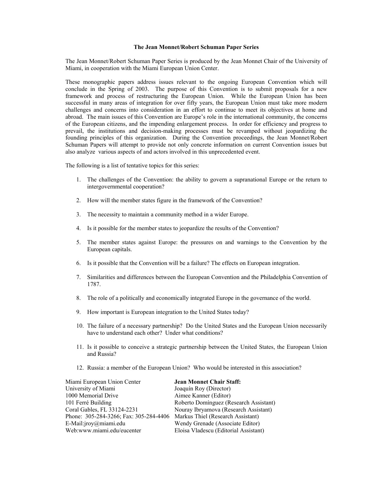#### **The Jean Monnet/Robert Schuman Paper Series**

The Jean Monnet/Robert Schuman Paper Series is produced by the Jean Monnet Chair of the University of Miami, in cooperation with the Miami European Union Center.

These monographic papers address issues relevant to the ongoing European Convention which will conclude in the Spring of 2003. The purpose of this Convention is to submit proposals for a new framework and process of restructuring the European Union. While the European Union has been successful in many areas of integration for over fifty years, the European Union must take more modern challenges and concerns into consideration in an effort to continue to meet its objectives at home and abroad. The main issues of this Convention are Europe's role in the international community, the concerns of the European citizens, and the impending enlargement process. In order for efficiency and progress to prevail, the institutions and decision-making processes must be revamped without jeopardizing the founding principles of this organization. During the Convention proceedings, the Jean Monnet/Robert Schuman Papers will attempt to provide not only concrete information on current Convention issues but also analyze various aspects of and actors involved in this unprecedented event.

The following is a list of tentative topics for this series:

- 1. The challenges of the Convention: the ability to govern a supranational Europe or the return to intergovernmental cooperation?
- 2. How will the member states figure in the framework of the Convention?
- 3. The necessity to maintain a community method in a wider Europe.
- 4. Is it possible for the member states to jeopardize the results of the Convention?
- 5. The member states against Europe: the pressures on and warnings to the Convention by the European capitals.
- 6. Is it possible that the Convention will be a failure? The effects on European integration.
- 7. Similarities and differences between the European Convention and the Philadelphia Convention of 1787.
- 8. The role of a politically and economically integrated Europe in the governance of the world.
- 9. How important is European integration to the United States today?
- 10. The failure of a necessary partnership? Do the United States and the European Union necessarily have to understand each other? Under what conditions?
- 11. Is it possible to conceive a strategic partnership between the United States, the European Union and Russia?
- 12. Russia: a member of the European Union? Who would be interested in this association?

| Miami European Union Center            | <b>Jean Monnet Chair Staff:</b>        |
|----------------------------------------|----------------------------------------|
| University of Miami                    | Joaquín Roy (Director)                 |
| 1000 Memorial Drive                    | Aimee Kanner (Editor)                  |
| 101 Ferré Building                     | Roberto Domínguez (Research Assistant) |
| Coral Gables, FL 33124-2231            | Nouray Ibryamova (Research Assistant)  |
| Phone: 305-284-3266; Fax: 305-284-4406 | Markus Thiel (Research Assistant)      |
| E-Mail: $jroy@miam.$ edu               | Wendy Grenade (Associate Editor)       |
| Web:www.miami.edu/eucenter             | Eloisa Vladescu (Editorial Assistant)  |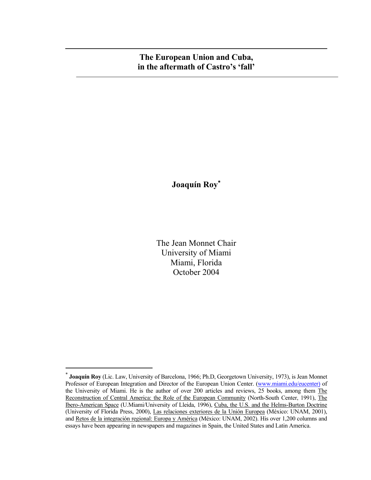# **The European Union and Cuba, in the aftermath of Castro's 'fall'**

**Joaquín Roy**<sup>∗</sup>

The Jean Monnet Chair University of Miami Miami, Florida October 2004

<sup>∗</sup>  **Joaquín Roy** (Lic. Law, University of Barcelona, 1966; Ph.D, Georgetown University, 1973), is Jean Monnet Professor of European Integration and Director of the European Union Center. (www.miami.edu/eucenter) of the University of Miami. He is the author of over 200 articles and reviews, 25 books, among them The Reconstruction of Central America: the Role of the European Community (North-South Center, 1991), The Ibero-American Space (U.Miami/University of Lleida, 1996), Cuba, the U.S. and the Helms-Burton Doctrine (University of Florida Press, 2000), Las relaciones exteriores de la Unión Europea (México: UNAM, 2001), and Retos de la integración regional: Europa y América (México: UNAM, 2002). His over 1,200 columns and essays have been appearing in newspapers and magazines in Spain, the United States and Latin America.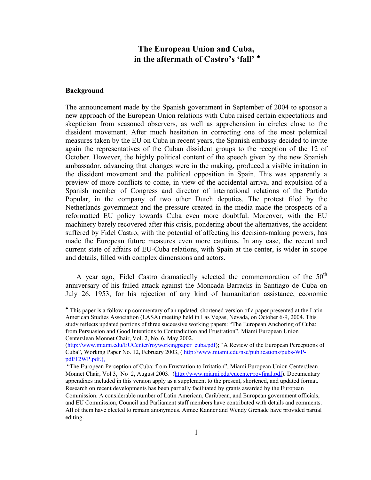# **Background**

1

The announcement made by the Spanish government in September of 2004 to sponsor a new approach of the European Union relations with Cuba raised certain expectations and skepticism from seasoned observers, as well as apprehension in circles close to the dissident movement. After much hesitation in correcting one of the most polemical measures taken by the EU on Cuba in recent years, the Spanish embassy decided to invite again the representatives of the Cuban dissident groups to the reception of the 12 of October. However, the highly political content of the speech given by the new Spanish ambassador, advancing that changes were in the making, produced a visible irritation in the dissident movement and the political opposition in Spain. This was apparently a preview of more conflicts to come, in view of the accidental arrival and expulsion of a Spanish member of Congress and director of international relations of the Partido Popular, in the company of two other Dutch deputies. The protest filed by the Netherlands government and the pressure created in the media made the prospects of a reformatted EU policy towards Cuba even more doubtful. Moreover, with the EU machinery barely recovered after this crisis, pondering about the alternatives, the accident suffered by Fidel Castro, with the potential of affecting his decision-making powers, has made the European future measures even more cautious. In any case, the recent and current state of affairs of EU-Cuba relations, with Spain at the center, is wider in scope and details, filled with complex dimensions and actors.

A year ago, Fidel Castro dramatically selected the commemoration of the  $50<sup>th</sup>$ anniversary of his failed attack against the Moncada Barracks in Santiago de Cuba on July 26, 1953, for his rejection of any kind of humanitarian assistance, economic

<sup>♣</sup> This paper is a follow-up commentary of an updated, shortened version of a paper presented at the Latin American Studies Association (LASA) meeting held in Las Vegas, Nevada, on October 6-9, 2004. This study reflects updated portions of three successive working papers: "The European Anchoring of Cuba: from Persuasion and Good Intentions to Contradiction and Frustration". Miami European Union Center/Jean Monnet Chair, Vol. 2, No. 6, May 2002.

<sup>(</sup>http://www.miami.edu/EUCenter/royworkingpaper\_cuba.pdf); "A Review of the European Perceptions of Cuba", Working Paper No. 12, February 2003, ( http://www.miami.edu/nsc/publications/pubs-WPpdf/12WP.pdf.),

 <sup>&</sup>quot;The European Perception of Cuba: from Frustration to Irritation", Miami European Union Center/Jean Monnet Chair, Vol 3, No 2, August 2003. (http://www.miami.edu/eucenter/royfinal.pdf). Documentary appendixes included in this version apply as a supplement to the present, shortened, and updated format. Research on recent developments has been partially facilitated by grants awarded by the European Commission. A considerable number of Latin American, Caribbean, and European government officials, and EU Commission, Council and Parliament staff members have contributed with details and comments. All of them have elected to remain anonymous. Aimee Kanner and Wendy Grenade have provided partial editing.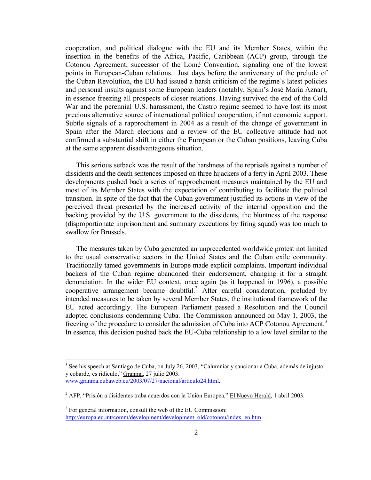cooperation, and political dialogue with the EU and its Member States, within the insertion in the benefits of the Africa, Pacific, Caribbean (ACP) group, through the Cotonou Agreement, successor of the Lomé Convention, signaling one of the lowest points in European-Cuban relations.<sup>1</sup> Just days before the anniversary of the prelude of the Cuban Revolution, the EU had issued a harsh criticism of the regime's latest policies and personal insults against some European leaders (notably, Spain's José María Aznar), in essence freezing all prospects of closer relations. Having survived the end of the Cold War and the perennial U.S. harassment, the Castro regime seemed to have lost its most precious alternative source of international political cooperation, if not economic support. Subtle signals of a rapprochement in 2004 as a result of the change of government in Spain after the March elections and a review of the EU collective attitude had not confirmed a substantial shift in either the European or the Cuban positions, leaving Cuba at the same apparent disadvantageous situation.

 This serious setback was the result of the harshness of the reprisals against a number of dissidents and the death sentences imposed on three hijackers of a ferry in April 2003. These developments pushed back a series of rapprochement measures maintained by the EU and most of its Member States with the expectation of contributing to facilitate the political transition. In spite of the fact that the Cuban government justified its actions in view of the perceived threat presented by the increased activity of the internal opposition and the backing provided by the U.S. government to the dissidents, the bluntness of the response (disproportionate imprisonment and summary executions by firing squad) was too much to swallow for Brussels.

 The measures taken by Cuba generated an unprecedented worldwide protest not limited to the usual conservative sectors in the United States and the Cuban exile community. Traditionally tamed governments in Europe made explicit complaints. Important individual backers of the Cuban regime abandoned their endorsement, changing it for a straight denunciation. In the wider EU context, once again (as it happened in 1996), a possible cooperative arrangement became doubtful.<sup>2</sup> After careful consideration, preluded by intended measures to be taken by several Member States, the institutional framework of the EU acted accordingly. The European Parliament passed a Resolution and the Council adopted conclusions condemning Cuba. The Commission announced on May 1, 2003, the freezing of the procedure to consider the admission of Cuba into ACP Cotonou Agreement.<sup>3</sup> In essence, this decision pushed back the EU-Cuba relationship to a low level similar to the

<sup>&</sup>lt;sup>1</sup> See his speech at Santiago de Cuba, on July 26, 2003, "Calumniar y sancionar a Cuba, además de injusto y cobarde, es ridículo," Granma, 27 julio 2003. www.granma.cubaweb.cu/2003/07/27/nacional/articulo24.html.

<sup>&</sup>lt;sup>2</sup> AFP, "Prisión a disidentes traba acuerdos con la Unión Europea," El Nuevo Herald, 1 abril 2003.

<sup>&</sup>lt;sup>3</sup> For general information, consult the web of the EU Commission: http://europa.eu.int/comm/development/development\_old/cotonou/index\_en.htm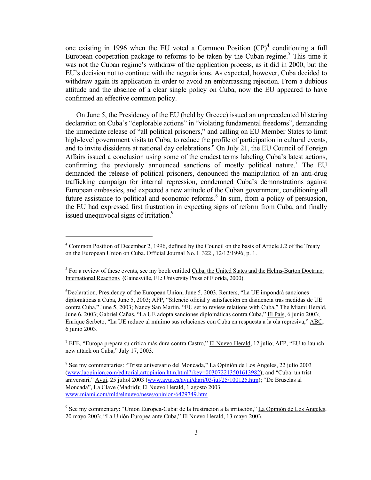one existing in 1996 when the EU voted a Common Position  $(CP)^4$  conditioning a full European cooperation package to reforms to be taken by the Cuban regime.<sup>5</sup> This time it was not the Cuban regime's withdraw of the application process, as it did in 2000, but the EU's decision not to continue with the negotiations. As expected, however, Cuba decided to withdraw again its application in order to avoid an embarrassing rejection. From a dubious attitude and the absence of a clear single policy on Cuba, now the EU appeared to have confirmed an effective common policy.

 On June 5, the Presidency of the EU (held by Greece) issued an unprecedented blistering declaration on Cuba's "deplorable actions" in "violating fundamental freedoms", demanding the immediate release of "all political prisoners," and calling on EU Member States to limit high-level government visits to Cuba, to reduce the profile of participation in cultural events, and to invite dissidents at national day celebrations. $6$  On July 21, the EU Council of Foreign Affairs issued a conclusion using some of the crudest terms labeling Cuba's latest actions, confirming the previously announced sanctions of mostly political nature.<sup>7</sup> The EU demanded the release of political prisoners, denounced the manipulation of an anti-drug trafficking campaign for internal repression, condemned Cuba's demonstrations against European embassies, and expected a new attitude of the Cuban government, conditioning all future assistance to political and economic reforms.<sup>8</sup> In sum, from a policy of persuasion, the EU had expressed first frustration in expecting signs of reform from Cuba, and finally issued unequivocal signs of irritation.<sup>9</sup>

<sup>&</sup>lt;sup>4</sup> Common Position of December 2, 1996, defined by the Council on the basis of Article J.2 of the Treaty on the European Union on Cuba. Official Journal No. L 322 , 12/12/1996, p. 1.

<sup>&</sup>lt;sup>5</sup> For a review of these events, see my book entitled Cuba, the United States and the Helms-Burton Doctrine: International Reactions (Gainesville, FL: University Press of Florida, 2000).

<sup>6</sup> Declaration, Presidency of the European Union, June 5, 2003. Reuters, "La UE impondrá sanciones diplomáticas a Cuba, June 5, 2003; AFP, "Silencio oficial y satisfacción en disidencia tras medidas de UE contra Cuba," June 5, 2003; Nancy San Martín, "EU set to review relations with Cuba," The Miami Herald, June 6, 2003; Gabriel Cañas, "La UE adopta sanciones diplomáticas contra Cuba," El País, 6 junio 2003; Enrique Serbeto, "La UE reduce al mínimo sus relaciones con Cuba en respuesta a la ola represiva," ABC, 6 junio 2003.

<sup>&</sup>lt;sup>7</sup> EFE, "Europa prepara su crítica más dura contra Castro," El Nuevo Herald, 12 julio; AFP, "EU to launch new attack on Cuba," July 17, 2003.

<sup>&</sup>lt;sup>8</sup> See my commentaries: "Triste aniversario del Moncada," La Opinión de Los Angeles, 22 julio 2003 (www.laopinion.com/editorial.artopinion.htm.html?rkey=003072213501613982); and "Cuba: un trist aniversari," Avui, 25 juliol 2003 (www.avui.es/avui/diari/03/jul/25/100125.htm); "De Bruselas al Moncada", La Clave (Madrid); El Nuevo Herald, 1 agosto 2003 www.miami.com/mld/elnuevo/news/opinion/6429749.htm

<sup>&</sup>lt;sup>9</sup> See my commentary: "Unión Europea-Cuba: de la frustración a la irritación," La Opinión de Los Angeles, 20 mayo 2003; "La Unión Europea ante Cuba," El Nuevo Herald, 13 mayo 2003.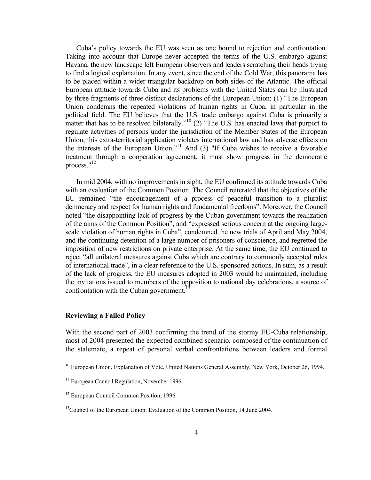Cuba's policy towards the EU was seen as one bound to rejection and confrontation. Taking into account that Europe never accepted the terms of the U.S. embargo against Havana, the new landscape left European observers and leaders scratching their heads trying to find a logical explanation. In any event, since the end of the Cold War, this panorama has to be placed within a wider triangular backdrop on both sides of the Atlantic. The official European attitude towards Cuba and its problems with the United States can be illustrated by three fragments of three distinct declarations of the European Union: (1) "The European Union condemns the repeated violations of human rights in Cuba, in particular in the political field. The EU believes that the U.S. trade embargo against Cuba is primarily a matter that has to be resolved bilaterally."<sup>10</sup> (2) "The U.S. has enacted laws that purport to regulate activities of persons under the jurisdiction of the Member States of the European Union; this extra-territorial application violates international law and has adverse effects on the interests of the European Union."<sup>11</sup> And (3) "If Cuba wishes to receive a favorable treatment through a cooperation agreement, it must show progress in the democratic process." $^{12}$ 

 In mid 2004, with no improvements in sight, the EU confirmed its attitude towards Cuba with an evaluation of the Common Position. The Council reiterated that the objectives of the EU remained "the encouragement of a process of peaceful transition to a pluralist democracy and respect for human rights and fundamental freedoms". Moreover, the Council noted "the disappointing lack of progress by the Cuban government towards the realization of the aims of the Common Position", and "expressed serious concern at the ongoing largescale violation of human rights in Cuba", condemned the new trials of April and May 2004, and the continuing detention of a large number of prisoners of conscience, and regretted the imposition of new restrictions on private enterprise. At the same time, the EU continued to reject "all unilateral measures against Cuba which are contrary to commonly accepted rules of international trade", in a clear reference to the U.S.-sponsored actions. In sum, as a result of the lack of progress, the EU measures adopted in 2003 would be maintained, including the invitations issued to members of the opposition to national day celebrations, a source of confrontation with the Cuban government.<sup>13</sup>

### **Reviewing a Failed Policy**

 $\overline{a}$ 

With the second part of 2003 confirming the trend of the stormy EU-Cuba relationship, most of 2004 presented the expected combined scenario, composed of the continuation of the stalemate, a repeat of personal verbal confrontations between leaders and formal

<sup>&</sup>lt;sup>10</sup> European Union, Explanation of Vote, United Nations General Assembly, New York, October 26, 1994.

<sup>&</sup>lt;sup>11</sup> European Council Regulation, November 1996.

<sup>&</sup>lt;sup>12</sup> European Council Common Position, 1996.

<sup>&</sup>lt;sup>13</sup>Council of the European Union. Evaluation of the Common Position, 14 June 2004.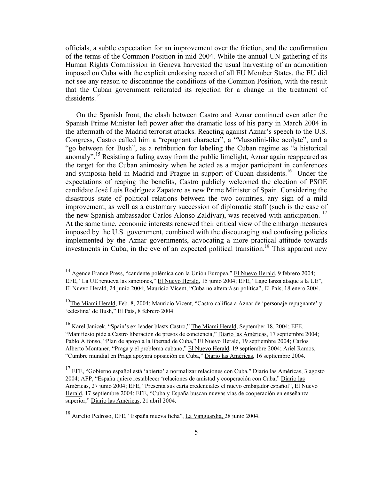officials, a subtle expectation for an improvement over the friction, and the confirmation of the terms of the Common Position in mid 2004. While the annual UN gathering of its Human Rights Commission in Geneva harvested the usual harvesting of an admonition imposed on Cuba with the explicit endorsing record of all EU Member States, the EU did not see any reason to discontinue the conditions of the Common Position, with the result that the Cuban government reiterated its rejection for a change in the treatment of dissidents $14$ 

On the Spanish front, the clash between Castro and Aznar continued even after the Spanish Prime Minister left power after the dramatic loss of his party in March 2004 in the aftermath of the Madrid terrorist attacks. Reacting against Aznar's speech to the U.S. Congress, Castro called him a "repugnant character", a "Mussolini-like acolyte", and a "go between for Bush", as a retribution for labeling the Cuban regime as "a historical anomaly".<sup>15</sup> Resisting a fading away from the public limelight, Aznar again reappeared as the target for the Cuban animosity when he acted as a major participant in conferences and symposia held in Madrid and Prague in support of Cuban dissidents.16 Under the expectations of reaping the benefits, Castro publicly welcomed the election of PSOE candidate José Luis Rodríguez Zapatero as new Prime Minister of Spain. Considering the disastrous state of political relations between the two countries, any sign of a mild improvement, as well as a customary succession of diplomatic staff (such is the case of the new Spanish ambassador Carlos Alonso Zaldívar), was received with anticipation.<sup>17</sup> At the same time, economic interests renewed their critical view of the embargo measures imposed by the U.S. government, combined with the discouraging and confusing policies implemented by the Aznar governments, advocating a more practical attitude towards investments in Cuba, in the eve of an expected political transition.<sup>18</sup> This apparent new

<sup>14</sup> Agence France Press, "candente polémica con la Unión Europea," El Nuevo Herald, 9 febrero 2004; EFE, "La UE renueva las sanciones," El Nuevo Herald, 15 junio 2004; EFE, "Lage lanza ataque a la UE", El Nuevo Herald, 24 junio 2004; Mauricio Vicent, "Cuba no alterará su política", El País, 18 enero 2004.

<sup>&</sup>lt;sup>15</sup>The Miami Herald, Feb. 8, 2004; Mauricio Vicent, "Castro califica a Aznar de 'personaje repugnante' y 'celestina' de Bush," El País, 8 febrero 2004.

<sup>&</sup>lt;sup>16</sup> Karel Janicek, "Spain's ex-leader blasts Castro," The Miami Herald, September 18, 2004; EFE, "Manifiesto pide a Castro liberación de presos de conciencia," Diario las Américas, 17 septiembre 2004; Pablo Alfonso, "Plan de apoyo a la libertad de Cuba," El Nuevo Herald, 19 septiembre 2004; Carlos Alberto Montaner, "Praga y el problema cubano," El Nuevo Herald, 19 septiembre 2004; Ariel Ramos, "Cumbre mundial en Praga apoyará oposición en Cuba," Diario las Américas, 16 septiembre 2004.

<sup>&</sup>lt;sup>17</sup> EFE, "Gobierno español está 'abierto' a normalizar relaciones con Cuba," Diario las Américas, 3 agosto 2004; AFP, "España quiere restablecer 'relaciones de amistad y cooperación con Cuba," Diario las Américas, 27 junio 2004; EFE, "Presenta sus carta credenciales el nuevo embajador español", El Nuevo Herald, 17 septiembre 2004; EFE, "Cuba y España buscan nuevas vias de cooperación en enseñanza superior," Diario las Américas, 21 abril 2004.

<sup>&</sup>lt;sup>18</sup> Aurelio Pedroso, EFE, "España mueva ficha", La Vanguardia, 28 junio 2004.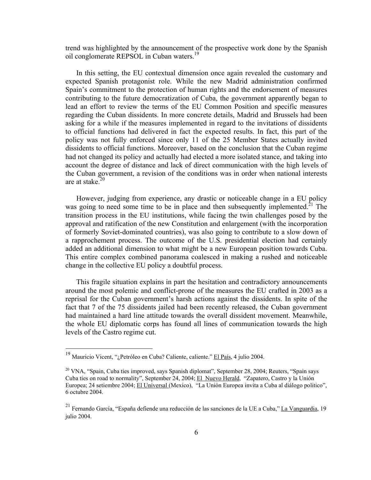trend was highlighted by the announcement of the prospective work done by the Spanish oil conglomerate REPSOL in Cuban waters.<sup>19</sup>

In this setting, the EU contextual dimension once again revealed the customary and expected Spanish protagonist role. While the new Madrid administration confirmed Spain's commitment to the protection of human rights and the endorsement of measures contributing to the future democratization of Cuba, the government apparently began to lead an effort to review the terms of the EU Common Position and specific measures regarding the Cuban dissidents. In more concrete details, Madrid and Brussels had been asking for a while if the measures implemented in regard to the invitations of dissidents to official functions had delivered in fact the expected results. In fact, this part of the policy was not fully enforced since only 11 of the 25 Member States actually invited dissidents to official functions. Moreover, based on the conclusion that the Cuban regime had not changed its policy and actually had elected a more isolated stance, and taking into account the degree of distance and lack of direct communication with the high levels of the Cuban government, a revision of the conditions was in order when national interests are at stake.<sup>20</sup>

However, judging from experience, any drastic or noticeable change in a EU policy was going to need some time to be in place and then subsequently implemented.<sup>21</sup> The transition process in the EU institutions, while facing the twin challenges posed by the approval and ratification of the new Constitution and enlargement (with the incorporation of formerly Soviet-dominated countries), was also going to contribute to a slow down of a rapprochement process. The outcome of the U.S. presidential election had certainly added an additional dimension to what might be a new European position towards Cuba. This entire complex combined panorama coalesced in making a rushed and noticeable change in the collective EU policy a doubtful process.

This fragile situation explains in part the hesitation and contradictory announcements around the most polemic and conflict-prone of the measures the EU crafted in 2003 as a reprisal for the Cuban government's harsh actions against the dissidents. In spite of the fact that 7 of the 75 dissidents jailed had been recently released, the Cuban government had maintained a hard line attitude towards the overall dissident movement. Meanwhile, the whole EU diplomatic corps has found all lines of communication towards the high levels of the Castro regime cut.

<sup>&</sup>lt;sup>19</sup> Mauricio Vicent, "¿Petróleo en Cuba? Caliente, caliente." El País, 4 julio 2004.

<sup>&</sup>lt;sup>20</sup> VNA, "Spain, Cuba ties improved, says Spanish diplomat", September 28, 2004; Reuters, "Spain says Cuba ties on road to normality", September 24, 2004; El Nuevo Herald, "Zapatero, Castro y la Unión Europea; 24 setiembre 2004; El Universal (Mexico), "La Unión Europea invita a Cuba al diálogo politico", 6 octubre 2004.

<sup>&</sup>lt;sup>21</sup> Fernando García, "España defiende una reducción de las sanciones de la UE a Cuba," La Vanguardia, 19 julio 2004.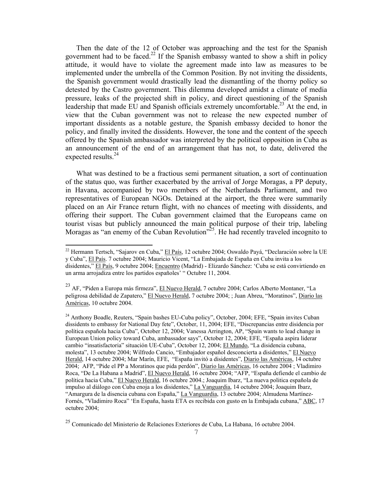Then the date of the 12 of October was approaching and the test for the Spanish government had to be faced.<sup>22</sup> If the Spanish embassy wanted to show a shift in policy attitude, it would have to violate the agreement made into law as measures to be implemented under the umbrella of the Common Position. By not inviting the dissidents, the Spanish government would drastically lead the dismantling of the thorny policy so detested by the Castro government. This dilemma developed amidst a climate of media pressure, leaks of the projected shift in policy, and direct questioning of the Spanish leadership that made EU and Spanish officials extremely uncomfortable.<sup>23</sup> At the end, in view that the Cuban government was not to release the new expected number of important dissidents as a notable gesture, the Spanish embassy decided to honor the policy, and finally invited the dissidents. However, the tone and the content of the speech offered by the Spanish ambassador was interpreted by the political opposition in Cuba as an announcement of the end of an arrangement that has not, to date, delivered the expected results.<sup>24</sup>

What was destined to be a fractious semi permanent situation, a sort of continuation of the status quo, was further exacerbated by the arrival of Jorge Moragas, a PP deputy, in Havana, accompanied by two members of the Netherlands Parliament, and two representatives of European NGOs. Detained at the airport, the three were summarily placed on an Air France return flight, with no chances of meeting with dissidents, and offering their support. The Cuban government claimed that the Europeans came on tourist visas but publicly announced the main political purpose of their trip, labeling Moragas as "an enemy of the Cuban Revolution"<sup>25</sup>. He had recently traveled incognito to

 $\overline{a}$ 

<sup>&</sup>lt;sup>22</sup> Hermann Tertsch, "Sajarov en Cuba," El País, 12 octubre 2004; Oswaldo Payá, "Declaración sobre la UE y Cuba", El País. 7 octubre 2004; Mauricio Vicent, "La Embajada de España en Cuba invita a los disidentes," El País, 9 octubre 2004; Encuentro (Madrid) - Elizardo Sánchez: 'Cuba se está convirtiendo en un arma arrojadiza entre los partidos españoles' " Octubre 11, 2004.

<sup>&</sup>lt;sup>23</sup> AF, "Piden a Europa más firmeza", <u>El Nuevo Herald</u>, 7 octubre 2004; Carlos Alberto Montaner, "La peligrosa debilidad de Zapatero," El Nuevo Herald, 7 octubre 2004; ; Juan Abreu, "Moratinos", Diario las Américas, 10 octubre 2004.

<sup>&</sup>lt;sup>24</sup> Anthony Boadle, Reuters, "Spain bashes EU-Cuba policy", October, 2004; EFE, "Spain invites Cuban dissidents to embassy for National Day fete", October, 11, 2004; EFE, "Discrepancias entre disidencia por política española hacia Cuba", October 12, 2004; Vanessa Arrington, AP, "Spain wants to lead change in European Union policy toward Cuba, ambassador says", October 12, 2004; EFE, "España aspira liderar cambio "insatisfactoria" situación UE-Cuba", October 12, 2004; El Mundo, "La disidencia cubana, molesta", 13 octubre 2004; Wilfredo Cancio, "Embajador español desconcierta a disidentes," El Nuevo Herald, 14 octubre 2004; Mar Marín, EFE, "España invitó a disidentes", Diario las Américas, 14 octubre 2004; AFP, "Pide el PP a Moratinos que pida perdón", Diario las Américas, 16 octubre 2004 ; Vladimiro Roca, "De La Habana a Madrid", El Nuevo Herald, 16 octubre 2004; "AFP, "España defiende el cambio de política hacia Cuba," El Nuevo Herald, 16 octubre 2004.; Joaquim Ibarz, "La nueva politica española de impulso al diálogo con Cuba enoja a los disidentes," La Vanguardia, 14 octubre 2004; Joaquim Ibarz, "Amargura de la disencia cubana con España," La Vanguardia, 13 octubre 2004; Almudena Martínez-Fornés, "Vladimiro Roca" 'En España, hasta ETA es recibida con gusto en la Embajada cubana," ABC, 17 octubre 2004;

<sup>25</sup> Comunicado del Ministerio de Relaciones Exteriores de Cuba, La Habana, 16 octubre 2004.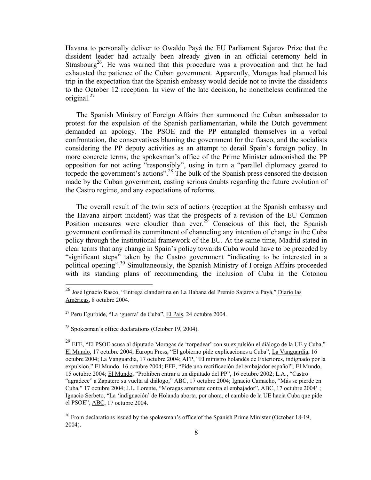Havana to personally deliver to Owaldo Payá the EU Parliament Sajarov Prize that the dissident leader had actually been already given in an official ceremony held in Strasbourg<sup>26</sup>. He was warned that this procedure was a provocation and that he had exhausted the patience of the Cuban government. Apparently, Moragas had planned his trip in the expectation that the Spanish embassy would decide not to invite the dissidents to the October 12 reception. In view of the late decision, he nonetheless confirmed the original. $27$ 

The Spanish Ministry of Foreign Affairs then summoned the Cuban ambassador to protest for the expulsion of the Spanish parliamentarian, while the Dutch government demanded an apology. The PSOE and the PP entangled themselves in a verbal confrontation, the conservatives blaming the government for the fiasco, and the socialists considering the PP deputy activities as an attempt to derail Spain's foreign policy. In more concrete terms, the spokesman's office of the Prime Minister admonished the PP opposition for not acting "responsibly", using in turn a "parallel diplomacy geared to torpedo the government's actions".28 The bulk of the Spanish press censored the decision made by the Cuban government, casting serious doubts regarding the future evolution of the Castro regime, and any expectations of reforms.

The overall result of the twin sets of actions (reception at the Spanish embassy and the Havana airport incident) was that the prospects of a revision of the EU Common Position measures were cloudier than ever.<sup>29</sup> Conscious of this fact, the Spanish government confirmed its commitment of channeling any intention of change in the Cuba policy through the institutional framework of the EU. At the same time, Madrid stated in clear terms that any change in Spain's policy towards Cuba would have to be preceded by "significant steps" taken by the Castro government "indicating to be interested in a political opening".<sup>30</sup> Simultaneously, the Spanish Ministry of Foreign Affairs proceeded with its standing plans of recommending the inclusion of Cuba in the Cotonou

<sup>&</sup>lt;sup>26</sup> José Ignacio Rasco, "Entrega clandestina en La Habana del Premio Sajarov a Payá," <u>Diario las</u> Américas, 8 octubre 2004.

<sup>&</sup>lt;sup>27</sup> Peru Egurbide, "La 'guerra' de Cuba", El País, 24 octubre 2004.

 $28$  Spokesman's office declarations (October 19, 2004).

 $^{29}$  EFE, "El PSOE acusa al diputado Moragas de 'torpedear' con su expulsión el diálogo de la UE y Cuba," El Mundo, 17 octubre 2004; Europa Press, "El gobierno pide explicaciones a Cuba", La Vanguardia, 16 octubre 2004; La Vanguardia, 17 octubre 2004; AFP, "El ministro holandés de Exteriores, indignado por la expulsion," El Mundo, 16 octubre 2004; EFE, "Pide una rectificación del embajador español", El Mundo, 15 octubre 2004; El Mundo, "Prohiben entrar a un diputado del PP", 16 octubre 2002; L.A., "Castro "agradece" a Zapatero su vuelta al diálogo," ABC, 17 octubre 2004; Ignacio Camacho, "Más se pierde en Cuba," 17 octubre 2004; J.L. Lorente, "Moragas arremete contra el embajador", ABC, 17 octubre 2004' ; Ignacio Serbeto, "La 'indignación' de Holanda aborta, por ahora, el cambio de la UE hacia Cuba que pide el PSOE", ABC, 17 octubre 2004.

 $30$  From declarations issued by the spokesman's office of the Spanish Prime Minister (October 18-19, 2004).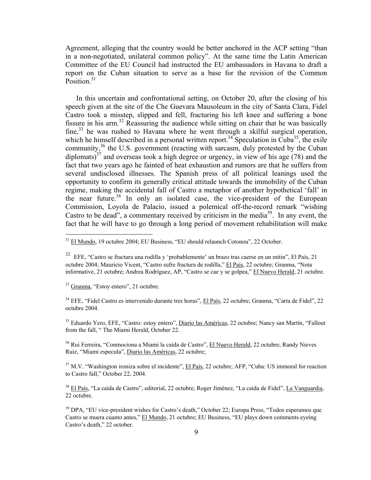Agreement, alleging that the country would be better anchored in the ACP setting "than in a non-negotiated, unilateral common policy". At the same time the Latin American Committee of the EU Council had instructed the EU ambassadors in Havana to draft a report on the Cuban situation to serve as a base for the revision of the Common Position. $31$ 

In this uncertain and confrontational setting, on October 20, after the closing of his speech given at the site of the Che Guevara Mausoleum in the city of Santa Clara, Fidel Castro took a misstep, slipped and fell, fracturing his left knee and suffering a bone fissure in his arm.32 Reassuring the audience while sitting on chair that he was basically fine,<sup>33</sup> he was rushed to Havana where he went through a skilful surgical operation, which he himself described in a personal written report.<sup>34</sup> Speculation in Cuba<sup>35</sup>, the exile community,<sup>36</sup> the U.S. government (reacting with sarcasm, duly protested by the Cuban diplomats)<sup>37</sup> and overseas took a high degree or urgency, in view of his age (78) and the fact that two years ago he fainted of heat exhaustion and rumors are that he suffers from several undisclosed illnesses. The Spanish press of all political leanings used the opportunity to confirm its generally critical attitude towards the immobility of the Cuban regime, making the accidental fall of Castro a metaphor of another hypothetical 'fall' in the near future.<sup>38</sup> In only an isolated case, the vice-president of the European Commission, Loyola de Palacio, issued a polemical off-the-record remark "wishing Castro to be dead", a commentary received by criticism in the media<sup>39</sup>. In any event, the fact that he will have to go through a long period of movement rehabilitation will make

<sup>33</sup> Granma, "Estoy entero", 21 octubre.

 $\overline{a}$ 

<sup>34</sup> EFE, "Fidel Castro es intervenido durante tres horas", El País, 22 octubre; Granma, "Carta de Fidel", 22 octubre 2004.

<sup>35</sup> Eduardo Yero, EFE, "Castro: estoy entero", Diario las Américas, 22 octubre; Nancy san Martín, "Fallout from the fall, " The Miami Herald, October 22.

36 Rui Ferreira, "Conmociona a Miami la caída de Castro", El Nuevo Herald, 22 octubre; Randy Nieves Ruiz, "Miami especula", Diario las Américas, 22 octubre;

<sup>37</sup> M.V. "Washington ironiza sobre el incidente", El País, 22 octubre; AFP, "Cuba: US immoral for reaction to Castro fall," October 22, 2004.

38 El País, "La caída de Castro", editorial, 22 octubre; Roger Jiménez, "La caída de Fidel", La Vanguardia, 22 octubre.

<sup>39</sup> DPA, "EU vice-president wishes for Castro's death," October 22; Europa Press, "Todos esperamos que Castro se muera cuanto antes," El Mundo, 21 octubre; EU Business, "EU plays down comments eyeing Castro's death," 22 october.

<sup>&</sup>lt;sup>31</sup> El Mundo, 19 octubre 2004; EU Business, "EU should relaunch Cotonou", 22 October.

<sup>32</sup> EFE, "Castro se fractura una rodilla y 'probablemente' un brazo tras caerse en un mitin", El País, 21 octubre 2004; Mauricio Vicent, "Castro sufre fractura de rodilla," El País, 22 octubre; Granma, "Nota informative, 21 octubre; Andrea Rodríguez, AP, "Castro se cae y se golpea," El Nuevo Herald, 21 octubre.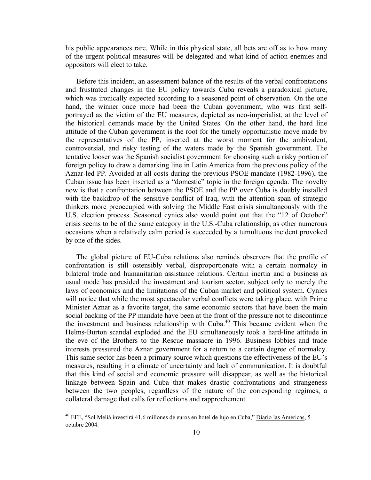his public appearances rare. While in this physical state, all bets are off as to how many of the urgent political measures will be delegated and what kind of action enemies and oppositors will elect to take.

Before this incident, an assessment balance of the results of the verbal confrontations and frustrated changes in the EU policy towards Cuba reveals a paradoxical picture, which was ironically expected according to a seasoned point of observation. On the one hand, the winner once more had been the Cuban government, who was first selfportrayed as the victim of the EU measures, depicted as neo-imperialist, at the level of the historical demands made by the United States. On the other hand, the hard line attitude of the Cuban government is the root for the timely opportunistic move made by the representatives of the PP, inserted at the worst moment for the ambivalent, controversial, and risky testing of the waters made by the Spanish government. The tentative looser was the Spanish socialist government for choosing such a risky portion of foreign policy to draw a demarking line in Latin America from the previous policy of the Aznar-led PP. Avoided at all costs during the previous PSOE mandate (1982-1996), the Cuban issue has been inserted as a "domestic" topic in the foreign agenda. The novelty now is that a confrontation between the PSOE and the PP over Cuba is doubly installed with the backdrop of the sensitive conflict of Iraq, with the attention span of strategic thinkers more preoccupied with solving the Middle East crisis simultaneously with the U.S. election process. Seasoned cynics also would point out that the "12 of October" crisis seems to be of the same category in the U.S.-Cuba relationship, as other numerous occasions when a relatively calm period is succeeded by a tumultuous incident provoked by one of the sides.

The global picture of EU-Cuba relations also reminds observers that the profile of confrontation is still ostensibly verbal, disproportionate with a certain normalcy in bilateral trade and humanitarian assistance relations. Certain inertia and a business as usual mode has presided the investment and tourism sector, subject only to merely the laws of economics and the limitations of the Cuban market and political system. Cynics will notice that while the most spectacular verbal conflicts were taking place, with Prime Minister Aznar as a favorite target, the same economic sectors that have been the main social backing of the PP mandate have been at the front of the pressure not to discontinue the investment and business relationship with  $Cuba<sup>40</sup>$  This became evident when the Helms-Burton scandal exploded and the EU simultaneously took a hard-line attitude in the eve of the Brothers to the Rescue massacre in 1996. Business lobbies and trade interests pressured the Aznar government for a return to a certain degree of normalcy. This same sector has been a primary source which questions the effectiveness of the EU's measures, resulting in a climate of uncertainty and lack of communication. It is doubtful that this kind of social and economic pressure will disappear, as well as the historical linkage between Spain and Cuba that makes drastic confrontations and strangeness between the two peoples, regardless of the nature of the corresponding regimes, a collateral damage that calls for reflections and rapprochement.

<sup>&</sup>lt;sup>40</sup> EFE, "Sol Meliá investirá 41,6 millones de euros en hotel de lujo en Cuba," Diario las Américas, 5 octubre 2004.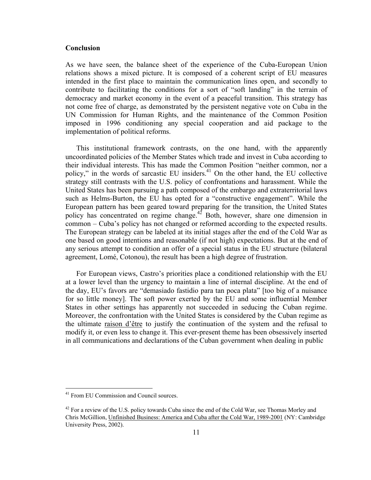## **Conclusion**

As we have seen, the balance sheet of the experience of the Cuba-European Union relations shows a mixed picture. It is composed of a coherent script of EU measures intended in the first place to maintain the communication lines open, and secondly to contribute to facilitating the conditions for a sort of "soft landing" in the terrain of democracy and market economy in the event of a peaceful transition. This strategy has not come free of charge, as demonstrated by the persistent negative vote on Cuba in the UN Commission for Human Rights, and the maintenance of the Common Position imposed in 1996 conditioning any special cooperation and aid package to the implementation of political reforms.

This institutional framework contrasts, on the one hand, with the apparently uncoordinated policies of the Member States which trade and invest in Cuba according to their individual interests. This has made the Common Position "neither common, nor a policy," in the words of sarcastic EU insiders.<sup>41</sup> On the other hand, the EU collective strategy still contrasts with the U.S. policy of confrontations and harassment. While the United States has been pursuing a path composed of the embargo and extraterritorial laws such as Helms-Burton, the EU has opted for a "constructive engagement". While the European pattern has been geared toward preparing for the transition, the United States policy has concentrated on regime change.<sup>42</sup> Both, however, share one dimension in common – Cuba's policy has not changed or reformed according to the expected results. The European strategy can be labeled at its initial stages after the end of the Cold War as one based on good intentions and reasonable (if not high) expectations. But at the end of any serious attempt to condition an offer of a special status in the EU structure (bilateral agreement, Lomé, Cotonou), the result has been a high degree of frustration.

For European views, Castro's priorities place a conditioned relationship with the EU at a lower level than the urgency to maintain a line of internal discipline. At the end of the day, EU's favors are "demasiado fastidio para tan poca plata" [too big of a nuisance for so little money]. The soft power exerted by the EU and some influential Member States in other settings has apparently not succeeded in seducing the Cuban regime. Moreover, the confrontation with the United States is considered by the Cuban regime as the ultimate raison d'être to justify the continuation of the system and the refusal to modify it, or even less to change it. This ever-present theme has been obsessively inserted in all communications and declarations of the Cuban government when dealing in public

<u>.</u>

<sup>&</sup>lt;sup>41</sup> From EU Commission and Council sources.

<sup>&</sup>lt;sup>42</sup> For a review of the U.S. policy towards Cuba since the end of the Cold War, see Thomas Morley and Chris McGillion, Unfinished Business: America and Cuba after the Cold War, 1989-2001 (NY: Cambridge University Press, 2002).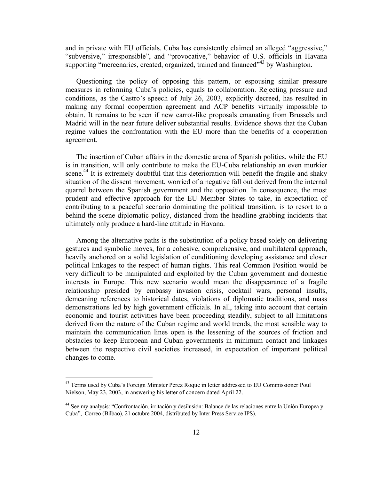and in private with EU officials. Cuba has consistently claimed an alleged "aggressive," "subversive," irresponsible", and "provocative," behavior of U.S. officials in Havana supporting "mercenaries, created, organized, trained and financed"<sup>43</sup> by Washington.

Questioning the policy of opposing this pattern, or espousing similar pressure measures in reforming Cuba's policies, equals to collaboration. Rejecting pressure and conditions, as the Castro's speech of July 26, 2003, explicitly decreed, has resulted in making any formal cooperation agreement and ACP benefits virtually impossible to obtain. It remains to be seen if new carrot-like proposals emanating from Brussels and Madrid will in the near future deliver substantial results. Evidence shows that the Cuban regime values the confrontation with the EU more than the benefits of a cooperation agreement.

The insertion of Cuban affairs in the domestic arena of Spanish politics, while the EU is in transition, will only contribute to make the EU-Cuba relationship an even murkier scene.<sup>44</sup> It is extremely doubtful that this deterioration will benefit the fragile and shaky situation of the dissent movement, worried of a negative fall out derived from the internal quarrel between the Spanish government and the opposition. In consequence, the most prudent and effective approach for the EU Member States to take, in expectation of contributing to a peaceful scenario dominating the political transition, is to resort to a behind-the-scene diplomatic policy, distanced from the headline-grabbing incidents that ultimately only produce a hard-line attitude in Havana.

Among the alternative paths is the substitution of a policy based solely on delivering gestures and symbolic moves, for a cohesive, comprehensive, and multilateral approach, heavily anchored on a solid legislation of conditioning developing assistance and closer political linkages to the respect of human rights. This real Common Position would be very difficult to be manipulated and exploited by the Cuban government and domestic interests in Europe. This new scenario would mean the disappearance of a fragile relationship presided by embassy invasion crisis, cocktail wars, personal insults, demeaning references to historical dates, violations of diplomatic traditions, and mass demonstrations led by high government officials. In all, taking into account that certain economic and tourist activities have been proceeding steadily, subject to all limitations derived from the nature of the Cuban regime and world trends, the most sensible way to maintain the communication lines open is the lessening of the sources of friction and obstacles to keep European and Cuban governments in minimum contact and linkages between the respective civil societies increased, in expectation of important political changes to come.

<sup>&</sup>lt;sup>43</sup> Terms used by Cuba's Foreign Minister Pérez Roque in letter addressed to EU Commissioner Poul Nielson, May 23, 2003, in answering his letter of concern dated April 22.

<sup>44</sup> See my analysis: "Confrontación, irritación y desilusión: Balance de las relaciones entre la Unión Europea y Cuba", Correo (Bilbao), 21 octubre 2004, distributed by Inter Press Service IPS).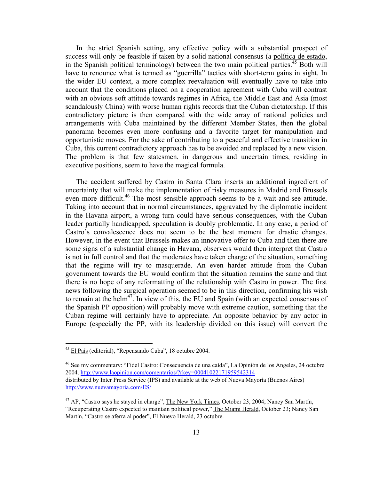In the strict Spanish setting, any effective policy with a substantial prospect of success will only be feasible if taken by a solid national consensus (a política de estado, in the Spanish political terminology) between the two main political parties.<sup>45</sup> Both will have to renounce what is termed as "guerrilla" tactics with short-term gains in sight. In the wider EU context, a more complex reevaluation will eventually have to take into account that the conditions placed on a cooperation agreement with Cuba will contrast with an obvious soft attitude towards regimes in Africa, the Middle East and Asia (most scandalously China) with worse human rights records that the Cuban dictatorship. If this contradictory picture is then compared with the wide array of national policies and arrangements with Cuba maintained by the different Member States, then the global panorama becomes even more confusing and a favorite target for manipulation and opportunistic moves. For the sake of contributing to a peaceful and effective transition in Cuba, this current contradictory approach has to be avoided and replaced by a new vision. The problem is that few statesmen, in dangerous and uncertain times, residing in executive positions, seem to have the magical formula.

The accident suffered by Castro in Santa Clara inserts an additional ingredient of uncertainty that will make the implementation of risky measures in Madrid and Brussels even more difficult.<sup>46</sup> The most sensible approach seems to be a wait-and-see attitude. Taking into account that in normal circumstances, aggravated by the diplomatic incident in the Havana airport, a wrong turn could have serious consequences, with the Cuban leader partially handicapped, speculation is doubly problematic. In any case, a period of Castro's convalescence does not seem to be the best moment for drastic changes. However, in the event that Brussels makes an innovative offer to Cuba and then there are some signs of a substantial change in Havana, observers would then interpret that Castro is not in full control and that the moderates have taken charge of the situation, something that the regime will try to masquerade. An even harder attitude from the Cuban government towards the EU would confirm that the situation remains the same and that there is no hope of any reformatting of the relationship with Castro in power. The first news following the surgical operation seemed to be in this direction, confirming his wish to remain at the helm<sup>47</sup>. In view of this, the EU and Spain (with an expected consensus of the Spanish PP opposition) will probably move with extreme caution, something that the Cuban regime will certainly have to appreciate. An opposite behavior by any actor in Europe (especially the PP, with its leadership divided on this issue) will convert the

1

<sup>45</sup> El País (editorial), "Repensando Cuba", 18 octubre 2004.

<sup>&</sup>lt;sup>46</sup> See my commentary: "Fidel Castro: Consecuencia de una caída", La Opinión de los Angeles, 24 octubre 2004. http://www.laopinion.com/comentarios/?rkey=00041022171959542314 distributed by Inter Press Service (IPS) and available at the web of Nueva Mayoría (Buenos Aires) http://www.nuevamayoria.com/ES/

<sup>&</sup>lt;sup>47</sup> AP, "Castro says he stayed in charge", The New York Times, October 23, 2004; Nancy San Martín, "Recuperating Castro expected to maintain political power," The Miami Herald, October 23; Nancy San Martín, "Castro se aferra al poder", El Nuevo Herald, 23 octubre.